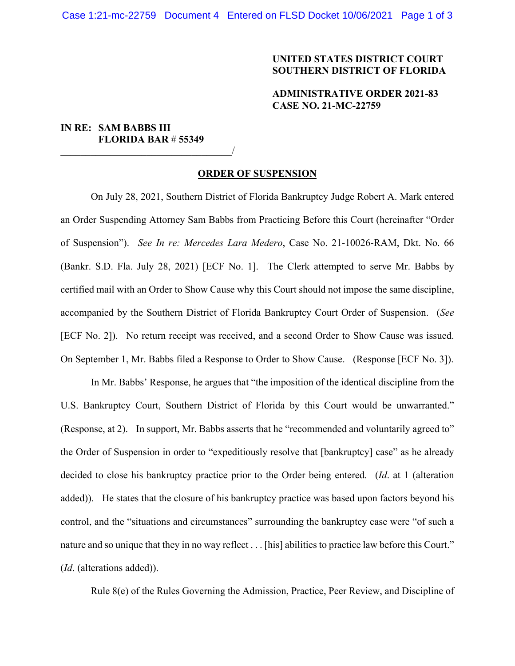## **UNITED STATES DISTRICT COURT SOUTHERN DISTRICT OF FLORIDA**

## **ADMINISTRATIVE ORDER 2021-83 CASE NO. 21-MC-22759**

# **IN RE: SAM BABBS III FLORIDA BAR** # **55349**

\_\_\_\_\_\_\_\_\_\_\_\_\_\_\_\_\_\_\_\_\_\_\_\_\_\_\_\_\_\_\_\_\_\_/

#### **ORDER OF SUSPENSION**

On July 28, 2021, Southern District of Florida Bankruptcy Judge Robert A. Mark entered an Order Suspending Attorney Sam Babbs from Practicing Before this Court (hereinafter "Order of Suspension"). *See In re: Mercedes Lara Medero*, Case No. 21-10026-RAM, Dkt. No. 66 (Bankr. S.D. Fla. July 28, 2021) [ECF No. 1]. The Clerk attempted to serve Mr. Babbs by certified mail with an Order to Show Cause why this Court should not impose the same discipline, accompanied by the Southern District of Florida Bankruptcy Court Order of Suspension. (*See* [ECF No. 2]). No return receipt was received, and a second Order to Show Cause was issued. On September 1, Mr. Babbs filed a Response to Order to Show Cause. (Response [ECF No. 3]).

In Mr. Babbs' Response, he argues that "the imposition of the identical discipline from the U.S. Bankruptcy Court, Southern District of Florida by this Court would be unwarranted." (Response, at 2). In support, Mr. Babbs asserts that he "recommended and voluntarily agreed to" the Order of Suspension in order to "expeditiously resolve that [bankruptcy] case" as he already decided to close his bankruptcy practice prior to the Order being entered. (*Id*. at 1 (alteration added)). He states that the closure of his bankruptcy practice was based upon factors beyond his control, and the "situations and circumstances" surrounding the bankruptcy case were "of such a nature and so unique that they in no way reflect . . . [his] abilities to practice law before this Court." (*Id*. (alterations added)).

Rule 8(e) of the Rules Governing the Admission, Practice, Peer Review, and Discipline of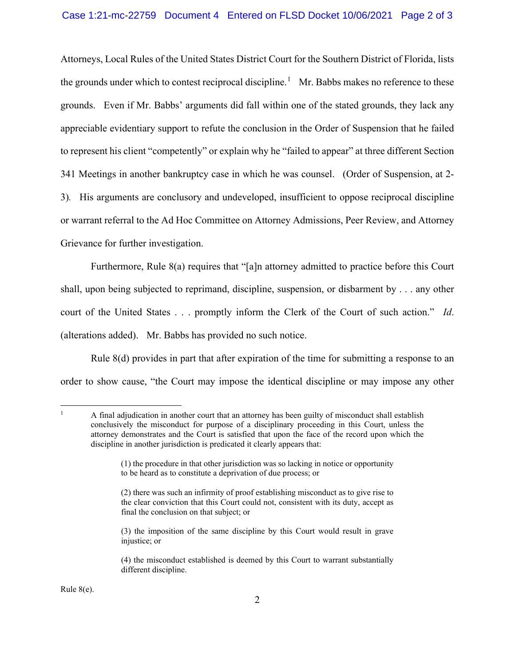### Case 1:21-mc-22759 Document 4 Entered on FLSD Docket 10/06/2021 Page 2 of 3

Attorneys, Local Rules of the United States District Court for the Southern District of Florida, lists the grounds under which to contest reciprocal discipline.<sup>[1](#page-1-0)</sup> Mr. Babbs makes no reference to these grounds. Even if Mr. Babbs' arguments did fall within one of the stated grounds, they lack any appreciable evidentiary support to refute the conclusion in the Order of Suspension that he failed to represent his client "competently" or explain why he "failed to appear" at three different Section 341 Meetings in another bankruptcy case in which he was counsel. (Order of Suspension, at 2- 3)*.* His arguments are conclusory and undeveloped, insufficient to oppose reciprocal discipline or warrant referral to the Ad Hoc Committee on Attorney Admissions, Peer Review, and Attorney Grievance for further investigation.

Furthermore, Rule 8(a) requires that "[a]n attorney admitted to practice before this Court shall, upon being subjected to reprimand, discipline, suspension, or disbarment by . . . any other court of the United States . . . promptly inform the Clerk of the Court of such action." *Id*. (alterations added). Mr. Babbs has provided no such notice.

Rule 8(d) provides in part that after expiration of the time for submitting a response to an order to show cause, "the Court may impose the identical discipline or may impose any other

<span id="page-1-0"></span><sup>1</sup> A final adjudication in another court that an attorney has been guilty of misconduct shall establish conclusively the misconduct for purpose of a disciplinary proceeding in this Court, unless the attorney demonstrates and the Court is satisfied that upon the face of the record upon which the discipline in another jurisdiction is predicated it clearly appears that:

Rule 8(e).

<sup>(1)</sup> the procedure in that other jurisdiction was so lacking in notice or opportunity to be heard as to constitute a deprivation of due process; or

<sup>(2)</sup> there was such an infirmity of proof establishing misconduct as to give rise to the clear conviction that this Court could not, consistent with its duty, accept as final the conclusion on that subject; or

<sup>(3)</sup> the imposition of the same discipline by this Court would result in grave injustice; or

<sup>(4)</sup> the misconduct established is deemed by this Court to warrant substantially different discipline.